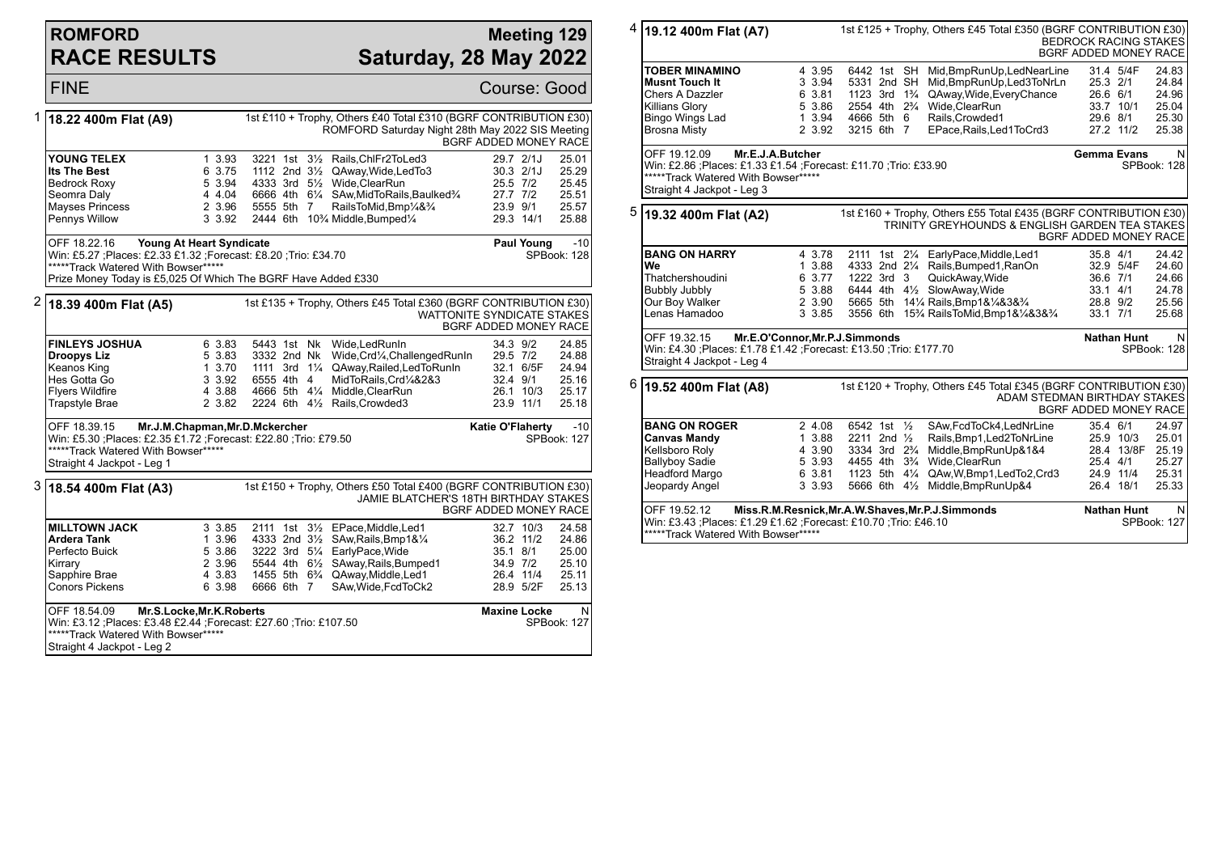## **ROMFORD RACE RESULTS**

## **Meeting 129 Saturday, 28 May 2022**

|   | <b>FINE</b>                                                                                                                                                                                                                                                     |                                                                                                                                                                                                                                                                                                  | Course: Good                                                                                                                                                                          |  |  |  |  |  |
|---|-----------------------------------------------------------------------------------------------------------------------------------------------------------------------------------------------------------------------------------------------------------------|--------------------------------------------------------------------------------------------------------------------------------------------------------------------------------------------------------------------------------------------------------------------------------------------------|---------------------------------------------------------------------------------------------------------------------------------------------------------------------------------------|--|--|--|--|--|
| 1 | 18.22 400m Flat (A9)                                                                                                                                                                                                                                            |                                                                                                                                                                                                                                                                                                  | 1st £110 + Trophy, Others £40 Total £310 (BGRF CONTRIBUTION £30)<br>ROMFORD Saturday Night 28th May 2022 SIS Meeting<br><b>BGRF ADDED MONEY RACE</b>                                  |  |  |  |  |  |
|   | YOUNG TELEX<br>Its The Best<br><b>Bedrock Roxy</b><br>Seomra Daly<br><b>Mayses Princess</b><br>Pennys Willow                                                                                                                                                    | 1 3.93<br>3221 1st 31/2 Rails, ChlFr2ToLed3<br>6 3.75<br>1112 2nd 31/2 QAway, Wide, Led To 3<br>5 3.94<br>4333 3rd 51/ <sub>2</sub> Wide.ClearRun<br>4 4.04<br>6666 4th 61/4 SAw, Mid To Rails, Baulked <sup>3</sup> /4<br>2 3.96<br>5555 5th 7<br>3 3.92<br>2444 6th 10% Middle, Bumped1/4      | 29.7 2/1J<br>25.01<br>$30.3$ $2/1J$<br>25.29<br>25.5 7/2<br>25.45<br>27.7 7/2<br>25.51<br>RailsToMid, Bmp <sup>1</sup> /4& <sup>3</sup> /4<br>23.9 9/1<br>25.57<br>29.3 14/1<br>25.88 |  |  |  |  |  |
|   | OFF 18.22.16<br>Young At Heart Syndicate<br>$-10$<br><b>Paul Young</b><br>Win: £5.27 ;Places: £2.33 £1.32 ;Forecast: £8.20 ;Trio: £34.70<br>SPBook: 128<br>*****Track Watered With Bowser*****<br>Prize Money Today is £5,025 Of Which The BGRF Have Added £330 |                                                                                                                                                                                                                                                                                                  |                                                                                                                                                                                       |  |  |  |  |  |
|   | $2 18.39 400$ m Flat (A5)<br>1st £135 + Trophy, Others £45 Total £360 (BGRF CONTRIBUTION £30)<br>WATTONITE SYNDICATE STAKES<br><b>BGRF ADDED MONEY RACE</b>                                                                                                     |                                                                                                                                                                                                                                                                                                  |                                                                                                                                                                                       |  |  |  |  |  |
|   | <b>FINLEYS JOSHUA</b><br>Droopys Liz<br>Keanos King<br>Hes Gotta Go<br><b>Flyers Wildfire</b><br><b>Trapstyle Brae</b>                                                                                                                                          | 5443 1st Nk Wide, Led RunIn<br>6 3.83<br>5 3.83 3332 2nd Nk Wide, Crd1/4, Challenged Runin<br>1 3.70 1111 3rd 11/4 QAway, Railed, LedTo Runin<br>3 3.92<br>6555 4th 4<br>4666 5th 41/4 Middle, ClearRun<br>4 3.88<br>2 3.82<br>2224 6th 41/2 Rails, Crowded 3                                    | 34.3 9/2<br>24.85<br>29.5 7/2<br>24.88<br>24.94<br>32.1 6/5F<br>MidToRails.Crd1/4&2&3<br>32.4 9/1<br>25.16<br>26.1 10/3<br>25.17<br>23.9 11/1<br>25.18                                |  |  |  |  |  |
|   | OFF 18.39.15<br>Mr.J.M.Chapman, Mr.D.Mckercher<br><b>Katie O'Flaherty</b><br>$-10$<br>Win: £5.30 ; Places: £2.35 £1.72 ; Forecast: £22.80 ; Trio: £79.50<br>SPBook: 127<br>*****Track Watered With Bowser*****<br>Straight 4 Jackpot - Leg 1                    |                                                                                                                                                                                                                                                                                                  |                                                                                                                                                                                       |  |  |  |  |  |
|   | 1st £150 + Trophy, Others £50 Total £400 (BGRF CONTRIBUTION £30)<br>18.54 400m Flat (A3)<br>JAMIE BLATCHER'S 18TH BIRTHDAY STAKES<br><b>BGRF ADDED MONEY RACE</b>                                                                                               |                                                                                                                                                                                                                                                                                                  |                                                                                                                                                                                       |  |  |  |  |  |
|   | <b>MILLTOWN JACK</b><br>Ardera Tank<br>Perfecto Buick<br>Kirrary<br>Sapphire Brae<br>Conors Pickens                                                                                                                                                             | 3 3.85<br>2111 1st 31/ <sub>2</sub> EPace, Middle, Led1<br>1 3.96<br>4333 2nd 31/2 SAw, Rails, Bmp1&1/4<br>5 3.86<br>3222 3rd 51/4 EarlyPace, Wide<br>5544 4th 61/2 SAway, Rails, Bumped1<br>2 3.96<br>4 3.83 1455 5th 6 <sup>3</sup> / <sub>4</sub> QAway, Middle, Led1<br>6 3.98<br>6666 6th 7 | 24.58<br>32.7 10/3<br>36.2 11/2<br>24.86<br>35.1 8/1<br>25.00<br>34.9 7/2<br>25.10<br>26.4 11/4<br>25.11<br>SAw, Wide, FcdToCk2<br>28.9 5/2F<br>25.13                                 |  |  |  |  |  |
|   | OFF 18.54.09<br>Mr.S.Locke, Mr.K. Roberts<br>Win: £3.12 ; Places: £3.48 £2.44 ; Forecast: £27.60 ; Trio: £107.50<br>*****Track Watered With Bowser*****<br>Straight 4 Jackpot - Leg 2                                                                           | <b>Maxine Locke</b><br>N<br>SPBook: 127                                                                                                                                                                                                                                                          |                                                                                                                                                                                       |  |  |  |  |  |

|   | <sup>4</sup> 19.12 400m Flat (A7)<br>1st £125 + Trophy, Others £45 Total £350 (BGRF CONTRIBUTION £30)<br><b>BEDROCK RACING STAKES</b><br><b>BGRF ADDED MONEY RACE</b>      |                                                          |                                                                                                                                             |                  |                                                                                                                                                                                                                     |                                                          |                                                                         |                                                         |
|---|----------------------------------------------------------------------------------------------------------------------------------------------------------------------------|----------------------------------------------------------|---------------------------------------------------------------------------------------------------------------------------------------------|------------------|---------------------------------------------------------------------------------------------------------------------------------------------------------------------------------------------------------------------|----------------------------------------------------------|-------------------------------------------------------------------------|---------------------------------------------------------|
|   | <b>TOBER MINAMINO</b><br><b>Musnt Touch It</b><br>Chers A Dazzler<br><b>Killians Glory</b><br>Bingo Wings Lad<br><b>Brosna Misty</b>                                       | 4 3.95<br>3 3.94<br>6 3.81<br>5 3.86<br>1 3.94<br>2 3.92 | 6442 1st SH<br>5331 2nd SH<br>1123 3rd 1 <sup>3</sup> / <sub>4</sub><br>2554 4th 2 <sup>3</sup> / <sub>4</sub><br>4666 5th 6<br>3215 6th 7  |                  | Mid, BmpRunUp, LedNearLine<br>Mid, BmpRunUp, Led3ToNrLn<br>QAway, Wide, Every Chance<br>Wide, ClearRun<br>Rails, Crowded1<br>EPace, Rails, Led1ToCrd3                                                               | 25.3 2/1<br>26.6 6/1<br>29.6 8/1                         | 31.4 5/4F<br>33.7 10/1<br>27.2 11/2                                     | 24.83<br>24.84<br>24.96<br>25.04<br>25.30<br>25.38      |
|   | OFF 19.12.09<br>Mr.E.J.A.Butcher<br>Win: £2.86 ;Places: £1.33 £1.54 ;Forecast: £11.70 ;Trio: £33.90<br>*****Track Watered With Bowser*****<br>Straight 4 Jackpot - Leg 3   |                                                          |                                                                                                                                             |                  |                                                                                                                                                                                                                     |                                                          | <b>Gemma Evans</b>                                                      | N<br>SPBook: 128                                        |
| 5 | 1st £160 + Trophy, Others £55 Total £435 (BGRF CONTRIBUTION £30)<br>19.32 400m Flat (A2)<br>TRINITY GREYHOUNDS & ENGLISH GARDEN TEA STAKES<br><b>BGRF ADDED MONEY RACE</b> |                                                          |                                                                                                                                             |                  |                                                                                                                                                                                                                     |                                                          |                                                                         |                                                         |
|   | <b>BANG ON HARRY</b><br>We<br>Thatchershoudini<br>Bubbly Jubbly<br>Our Boy Walker<br>Lenas Hamadoo                                                                         | 4 3.78<br>1 3.88<br>6 3.77<br>5 3.88<br>2 3.90<br>3 3.85 | 1222 3rd 3                                                                                                                                  |                  | 2111 1st 21/4 EarlyPace, Middle, Led1<br>4333 2nd 21/4 Rails, Bumped 1, RanOn<br>QuickAway, Wide<br>6444 4th 41/2 SlowAway, Wide<br>5665 5th 141/4 Rails, Bmp1&1/4&3&3/4<br>3556 6th 15% RailsToMid, Bmp1&1/4&3&3/4 | 35.8 4/1<br>36.6 7/1<br>33.1 4/1<br>28.8 9/2<br>33.1 7/1 | 32.9 5/4F                                                               | 24.42<br>24.60<br>24.66<br>24.78<br>25.56<br>25.68      |
|   | OFF 19.32.15<br>Mr.E.O'Connor, Mr.P.J.Simmonds<br>Win: £4.30 ;Places: £1.78 £1.42 ;Forecast: £13.50 ;Trio: £177.70<br>Straight 4 Jackpot - Leg 4                           |                                                          | <b>Nathan Hunt</b>                                                                                                                          | N<br>SPBook: 128 |                                                                                                                                                                                                                     |                                                          |                                                                         |                                                         |
| 6 | 19.52 400m Flat (A8)                                                                                                                                                       |                                                          |                                                                                                                                             |                  | 1st £120 + Trophy, Others £45 Total £345 (BGRF CONTRIBUTION £30)<br>ADAM STEDMAN BIRTHDAY STAKES                                                                                                                    | <b>BGRF ADDED MONEY RACE</b>                             |                                                                         |                                                         |
|   | <b>BANG ON ROGER</b><br><b>Canvas Mandy</b><br>Kellsboro Roly<br><b>Ballyboy Sadie</b><br>Headford Margo<br>Jeopardy Angel<br>OFF 19.52.12                                 | 2 4.08<br>1 3.88<br>4 3.90<br>5 3.93<br>6 3.81<br>3 3.93 | 6542 1st 1/2<br>2211 2nd $\frac{1}{2}$<br>3334 3rd 2 <sup>3</sup> / <sub>4</sub><br>4455 4th 3 <sup>3</sup> / <sub>4</sub><br>1123 5th 41/4 |                  | SAw,FcdToCk4,LedNrLine<br>Rails, Bmp1, Led 2ToNrLine<br>Middle, BmpRunUp&1&4<br>Wide, ClearRun<br>QAw,W,Bmp1,LedTo2,Crd3<br>5666 6th 41/2 Middle, BmpRunUp&4                                                        | 35.4 6/1<br>25.4 4/1                                     | 25.9 10/3<br>28.4 13/8F<br>24.9 11/4<br>26.4 18/1<br><b>Nathan Hunt</b> | 24.97<br>25.01<br>25.19<br>25.27<br>25.31<br>25.33<br>N |
|   | Miss.R.M.Resnick,Mr.A.W.Shaves,Mr.P.J.Simmonds<br>Win: £3.43 ;Places: £1.29 £1.62 ;Forecast: £10.70 ;Trio: £46.10<br>*****Track Watered With Bowser*****                   |                                                          |                                                                                                                                             |                  |                                                                                                                                                                                                                     |                                                          |                                                                         | SPBook: 127                                             |